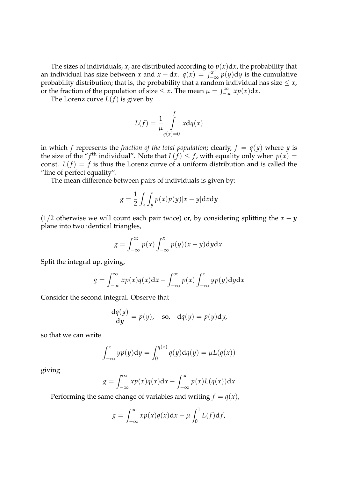The sizes of individuals, *x*, are distributed according to  $p(x)dx$ , the probability that an individual has size between *x* and  $x + dx$ .  $q(x) = \int_{-\infty}^{x} p(y) dy$  is the cumulative probability distribution; that is the probability that a random individual has size  $\leq x$ probability distribution; that is, the probability that a random individual has size  $\leq x$ , or the fraction of the population of size  $\leq x$ . The mean  $\mu = \int_{-\infty}^{\infty} x p(x) dx$ .<br>The Large surve  $L(f)$  is given by

The Lorenz curve  $L(f)$  is given by

$$
L(f) = \frac{1}{\mu} \int_{q(x)=0}^{f} x dq(x)
$$

in which *f* represents the *fraction of the total population*; clearly,  $f = q(y)$  where *y* is the size of the "*f*<sup>th</sup> individual". Note that  $L(f) \leq f$ , with equality only when  $p(x) =$ const.  $L(f) = f$  is thus the Lorenz curve of a uniform distribution and is called the "line of perfect equality".

The mean difference between pairs of individuals is given by:

$$
g = \frac{1}{2} \int_{x} \int_{y} p(x) p(y) |x - y| \mathrm{d}x \mathrm{d}y
$$

(1/2 otherwise we will count each pair twice) or, by considering splitting the  $x - y$ plane into two identical triangles,

$$
g = \int_{-\infty}^{\infty} p(x) \int_{-\infty}^{x} p(y) (x - y) dy dx.
$$

Split the integral up, giving,

$$
g = \int_{-\infty}^{\infty} x p(x) q(x) dx - \int_{-\infty}^{\infty} p(x) \int_{-\infty}^{x} y p(y) dy dx
$$

Consider the second integral. Observe that

$$
\frac{dq(y)}{dy} = p(y), \text{ so, } dq(y) = p(y)dy,
$$

so that we can write

$$
\int_{-\infty}^{x} y p(y) \mathrm{d}y = \int_{0}^{q(x)} q(y) \mathrm{d}q(y) = \mu L(q(x))
$$

giving

$$
g = \int_{-\infty}^{\infty} x p(x) q(x) dx - \int_{-\infty}^{\infty} p(x) L(q(x)) dx
$$

Performing the same change of variables and writing  $f = q(x)$ ,

$$
g = \int_{-\infty}^{\infty} x p(x) q(x) dx - \mu \int_{0}^{1} L(f) df,
$$